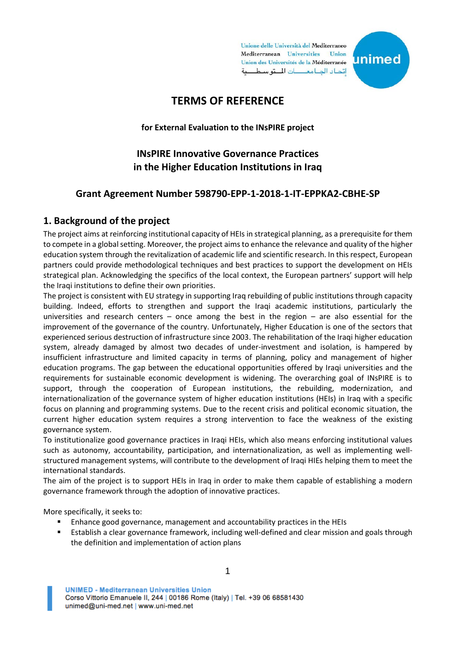Unione delle Università del Mediterraneo Mediterranean Universities Union Union des Universités de la Méditerranée اتداد الجامعات التوسطية



# **TERMS OF REFERENCE**

**for External Evaluation to the INsPIRE project**

# **INsPIRE Innovative Governance Practices in the Higher Education Institutions in Iraq**

#### **Grant Agreement Number 598790-EPP-1-2018-1-IT-EPPKA2-CBHE-SP**

#### **1. Background of the project**

The project aims at reinforcing institutional capacity of HEIs in strategical planning, as a prerequisite for them to compete in a global setting. Moreover, the project aims to enhance the relevance and quality of the higher education system through the revitalization of academic life and scientific research. In this respect, European partners could provide methodological techniques and best practices to support the development on HEIs strategical plan. Acknowledging the specifics of the local context, the European partners' support will help the Iraqi institutions to define their own priorities.

The project is consistent with EU strategy in supporting Iraq rebuilding of public institutions through capacity building. Indeed, efforts to strengthen and support the Iraqi academic institutions, particularly the universities and research centers – once among the best in the region – are also essential for the improvement of the governance of the country. Unfortunately, Higher Education is one of the sectors that experienced serious destruction of infrastructure since 2003. The rehabilitation of the Iraqi higher education system, already damaged by almost two decades of under-investment and isolation, is hampered by insufficient infrastructure and limited capacity in terms of planning, policy and management of higher education programs. The gap between the educational opportunities offered by Iraqi universities and the requirements for sustainable economic development is widening. The overarching goal of INsPIRE is to support, through the cooperation of European institutions, the rebuilding, modernization, and internationalization of the governance system of higher education institutions (HEIs) in Iraq with a specific focus on planning and programming systems. Due to the recent crisis and political economic situation, the current higher education system requires a strong intervention to face the weakness of the existing governance system.

To institutionalize good governance practices in Iraqi HEIs, which also means enforcing institutional values such as autonomy, accountability, participation, and internationalization, as well as implementing wellstructured management systems, will contribute to the development of Iraqi HIEs helping them to meet the international standards.

The aim of the project is to support HEIs in Iraq in order to make them capable of establishing a modern governance framework through the adoption of innovative practices.

More specifically, it seeks to:

- Enhance good governance, management and accountability practices in the HEIs
- Establish a clear governance framework, including well-defined and clear mission and goals through the definition and implementation of action plans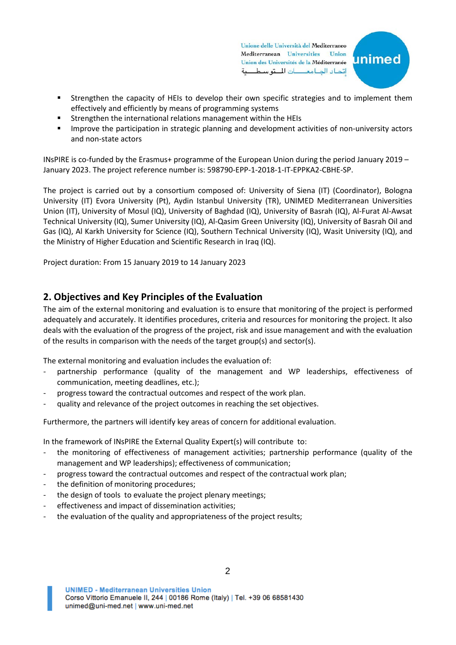Unione delle Università del Mediterraneo Mediterranean Universities Union Union des Universités de la Méditerranée اتداد الجامعات التوسطية



- Strengthen the capacity of HEIs to develop their own specific strategies and to implement them effectively and efficiently by means of programming systems
- Strengthen the international relations management within the HEIs
- Improve the participation in strategic planning and development activities of non-university actors and non-state actors

INsPIRE is co-funded by the Erasmus+ programme of the European Union during the period January 2019 – January 2023. The project reference number is: 598790-EPP-1-2018-1-IT-EPPKA2-CBHE-SP.

The project is carried out by a consortium composed of: University of Siena (IT) (Coordinator), Bologna University (IT) Evora University (Pt), Aydin Istanbul University (TR), UNIMED Mediterranean Universities Union (IT), University of Mosul (IQ), University of Baghdad (IQ), University of Basrah (IQ), Al-Furat Al-Awsat Technical University (IQ), Sumer University (IQ), Al-Qasim Green University (IQ), University of Basrah Oil and Gas (IQ), Al Karkh University for Science (IQ), Southern Technical University (IQ), Wasit University (IQ), and the Ministry of Higher Education and Scientific Research in Iraq (IQ).

Project duration: From 15 January 2019 to 14 January 2023

## **2. Objectives and Key Principles of the Evaluation**

The aim of the external monitoring and evaluation is to ensure that monitoring of the project is performed adequately and accurately. It identifies procedures, criteria and resources for monitoring the project. It also deals with the evaluation of the progress of the project, risk and issue management and with the evaluation of the results in comparison with the needs of the target group(s) and sector(s).

The external monitoring and evaluation includes the evaluation of:

- partnership performance (quality of the management and WP leaderships, effectiveness of communication, meeting deadlines, etc.);
- progress toward the contractual outcomes and respect of the work plan.
- quality and relevance of the project outcomes in reaching the set objectives.

Furthermore, the partners will identify key areas of concern for additional evaluation.

In the framework of INsPIRE the External Quality Expert(s) will contribute to:

- the monitoring of effectiveness of management activities; partnership performance (quality of the management and WP leaderships); effectiveness of communication;
- progress toward the contractual outcomes and respect of the contractual work plan;
- the definition of monitoring procedures;
- the design of tools to evaluate the project plenary meetings;
- effectiveness and impact of dissemination activities;
- the evaluation of the quality and appropriateness of the project results;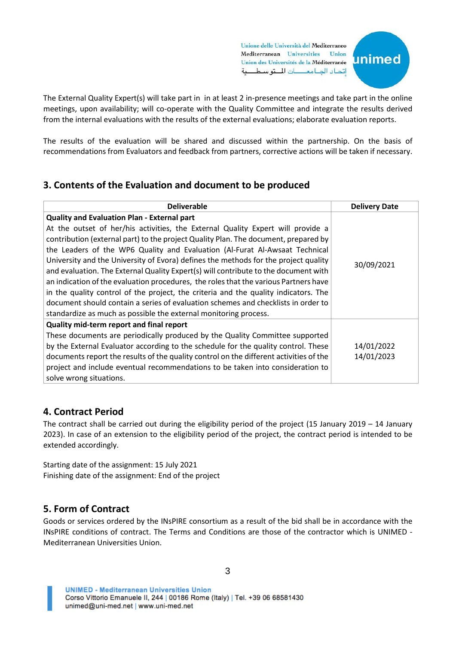Unione delle Università del Mediterraneo Mediterranean Universities Union Union des Universités de la Méditerranée اتداد الجامعات التوسطية



The External Quality Expert(s) will take part in in at least 2 in-presence meetings and take part in the online meetings, upon availability; will co-operate with the Quality Committee and integrate the results derived from the internal evaluations with the results of the external evaluations; elaborate evaluation reports.

The results of the evaluation will be shared and discussed within the partnership. On the basis of recommendations from Evaluators and feedback from partners, corrective actions will be taken if necessary.

## **3. Contents of the Evaluation and document to be produced**

| <b>Deliverable</b>                                                                     | <b>Delivery Date</b> |
|----------------------------------------------------------------------------------------|----------------------|
| <b>Quality and Evaluation Plan - External part</b>                                     |                      |
| At the outset of her/his activities, the External Quality Expert will provide a        |                      |
| contribution (external part) to the project Quality Plan. The document, prepared by    |                      |
| the Leaders of the WP6 Quality and Evaluation (Al-Furat Al-Awsaat Technical            |                      |
| University and the University of Evora) defines the methods for the project quality    | 30/09/2021           |
| and evaluation. The External Quality Expert(s) will contribute to the document with    |                      |
| an indication of the evaluation procedures, the roles that the various Partners have   |                      |
| in the quality control of the project, the criteria and the quality indicators. The    |                      |
| document should contain a series of evaluation schemes and checklists in order to      |                      |
| standardize as much as possible the external monitoring process.                       |                      |
| Quality mid-term report and final report                                               |                      |
| These documents are periodically produced by the Quality Committee supported           |                      |
| by the External Evaluator according to the schedule for the quality control. These     | 14/01/2022           |
| documents report the results of the quality control on the different activities of the | 14/01/2023           |
| project and include eventual recommendations to be taken into consideration to         |                      |
| solve wrong situations.                                                                |                      |

## **4. Contract Period**

The contract shall be carried out during the eligibility period of the project (15 January 2019 – 14 January 2023). In case of an extension to the eligibility period of the project, the contract period is intended to be extended accordingly.

Starting date of the assignment: 15 July 2021 Finishing date of the assignment: End of the project

## **5. Form of Contract**

Goods or services ordered by the INsPIRE consortium as a result of the bid shall be in accordance with the INsPIRE conditions of contract. The Terms and Conditions are those of the contractor which is UNIMED - Mediterranean Universities Union.